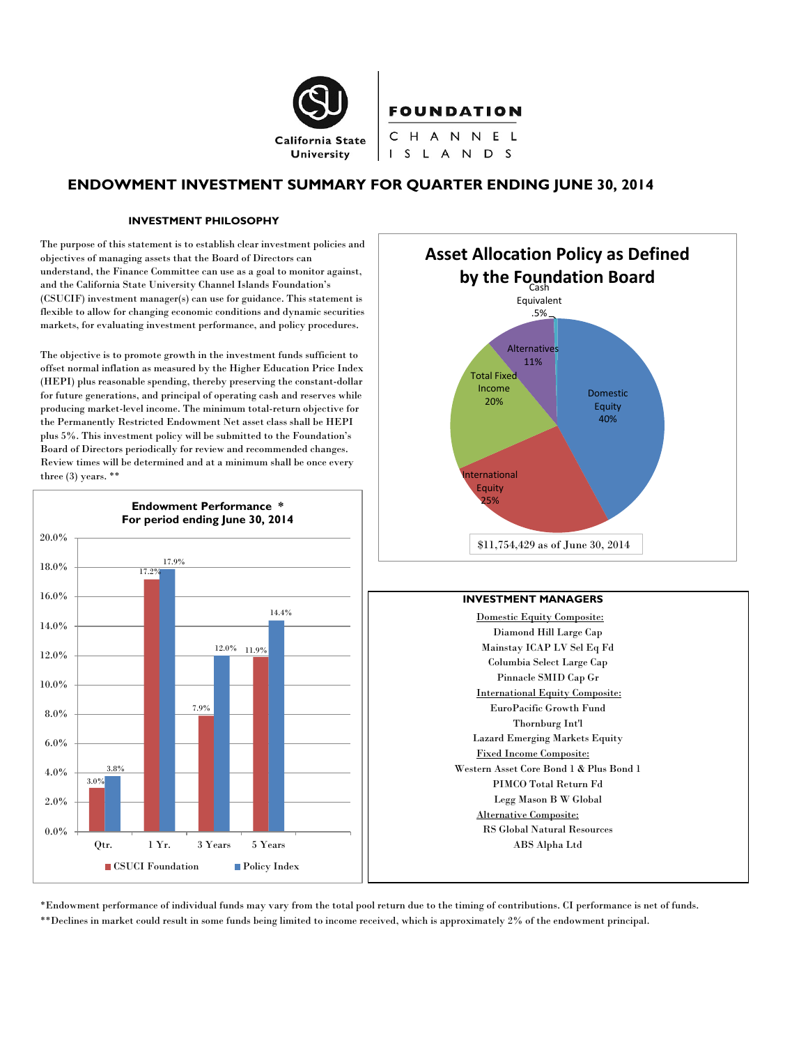

# **ENDOWMENT INVESTMENT SUMMARY FOR QUARTER ENDING JUNE 30, 2014**

S L A N D S

#### **INVESTMENT PHILOSOPHY**

The purpose of this statement is to establish clear investment policies and objectives of managing assets that the Board of Directors can understand, the Finance Committee can use as a goal to monitor against, and the California State University Channel Islands Foundation's (CSUCIF) investment manager(s) can use for guidance. This statement is flexible to allow for changing economic conditions and dynamic securities markets, for evaluating investment performance, and policy procedures.

The objective is to promote growth in the investment funds sufficient to offset normal inflation as measured by the Higher Education Price Index (HEPI) plus reasonable spending, thereby preserving the constant-dollar for future generations, and principal of operating cash and reserves while producing market-level income. The minimum total-return objective for the Permanently Restricted Endowment Net asset class shall be HEPI plus 5%. This investment policy will be submitted to the Foundation's Board of Directors periodically for review and recommended changes. Review times will be determined and at a minimum shall be once every three  $(3)$  years. \*\*





#### **INVESTMENT MANAGERS**

Domestic Equity Composite: Diamond Hill Large Cap Mainstay ICAP LV Sel Eq Fd Columbia Select Large Cap Pinnacle SMID Cap Gr International Equity Composite: EuroPacific Growth Fund Thornburg Int'l Lazard Emerging Markets Equity Fixed Income Composite: Western Asset Core Bond 1 & Plus Bond 1 PIMCO Total Return Fd Legg Mason B W Global Alternative Composite: RS Global Natural Resources ABS Alpha Ltd

\*Endowment performance of individual funds may vary from the total pool return due to the timing of contributions. CI performance is net of funds. \*\*Declines in market could result in some funds being limited to income received, which is approximately 2% of the endowment principal.